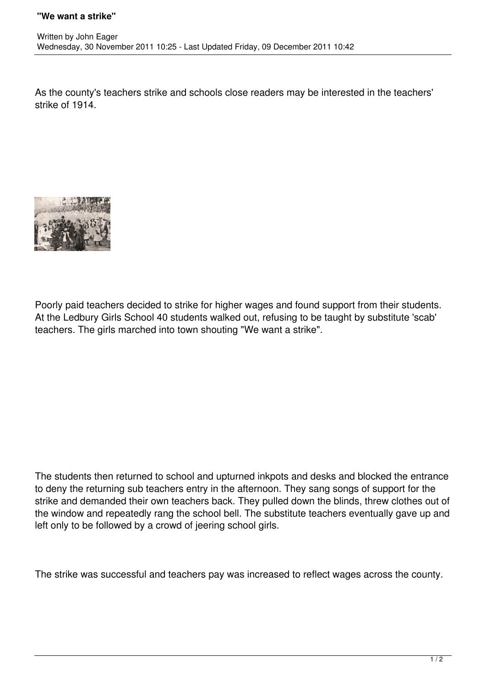As the county's teachers strike and schools close readers may be interested in the teachers' strike of 1914.



Poorly paid teachers decided to strike for higher wages and found support from their students. At the Ledbury Girls School 40 students walked out, refusing to be taught by substitute 'scab' teachers. The girls marched into town shouting "We want a strike".

The students then returned to school and upturned inkpots and desks and blocked the entrance to deny the returning sub teachers entry in the afternoon. They sang songs of support for the strike and demanded their own teachers back. They pulled down the blinds, threw clothes out of the window and repeatedly rang the school bell. The substitute teachers eventually gave up and left only to be followed by a crowd of jeering school girls.

The strike was successful and teachers pay was increased to reflect wages across the county.